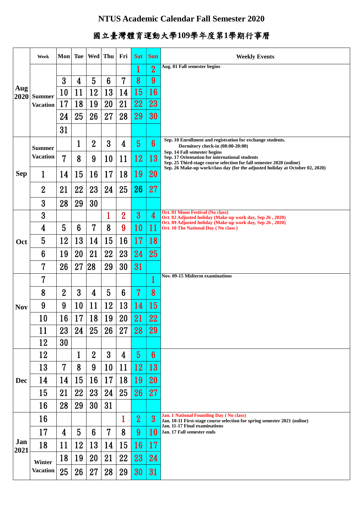## **NTUS Academic Calendar Fall Semester 2020**

## 國立臺灣體育運動大學**109**學年度第**1**學期行事曆

|             | Week                      | Mon            |                 | Tue   Wed   Thu |                 | Fri             | <b>Sat</b>      | <b>Sun</b>      | <b>Weekly Events</b>                                                                                                                                  |
|-------------|---------------------------|----------------|-----------------|-----------------|-----------------|-----------------|-----------------|-----------------|-------------------------------------------------------------------------------------------------------------------------------------------------------|
| Aug<br>2020 |                           |                |                 |                 |                 |                 |                 | $\overline{2}$  | Aug. 01 Fall semester begins                                                                                                                          |
|             | <b>Summer</b>             | 3              | 4               | 5               | $6\phantom{1}6$ | 7               | 8               | 9               |                                                                                                                                                       |
|             |                           | 10             | 11              | 12              | 13              | 14              | 15              | <b>16</b>       |                                                                                                                                                       |
|             | <b>Vacation</b>           | 17             | 18              | 19              | 20              | 21              | <b>22</b>       | 23              |                                                                                                                                                       |
|             |                           | 24             | 25              | 26              | 27              | 28              | 29              | 30              |                                                                                                                                                       |
|             |                           | 31             |                 |                 |                 |                 |                 |                 |                                                                                                                                                       |
| <b>Sep</b>  | <b>Summer</b>             |                | 1               | $\overline{2}$  | $\overline{3}$  | 4               | $\overline{5}$  | $6\phantom{1}$  | Sep. 10 Enrollment and registration for exchange students.<br>Dormitory check-in (08:00-20:00)                                                        |
|             | <b>Vacation</b>           | 7              | 8               | 9               | 10              | 11              | <u>12</u>       | 13              | Sep. 14 Fall semester begins<br>Sep. 17 Orientation for international students                                                                        |
|             | 1                         | 14             | 15              | 16              | 17              | 18              | 19              | 20              | Sep. 25 Third-stage course selection for fall semester 2020 (online)<br>Sep. 26 Make-up work/class day (for the adjusted holiday at October 02, 2020) |
|             |                           |                |                 |                 |                 |                 | 26              | 27              |                                                                                                                                                       |
|             | $\overline{2}$            | 21             | 22              | 23              | 24              | 25              |                 |                 |                                                                                                                                                       |
|             | 3                         | 28             | 29              | 30              |                 |                 |                 |                 | Oct. 01 Moon Festival (No class)                                                                                                                      |
| <b>Oct</b>  | 3                         |                |                 |                 |                 | $\overline{2}$  | $\overline{3}$  | 4               | Oct. 02 Adjusted holiday (Make-up work day, Sep 26, 2020)<br>Oct. 09 Adjusted holiday (Make-up work day, Sep 26, 2020)                                |
|             | 4                         | 5              | $6\phantom{1}6$ | $\overline{7}$  | 8               | 9               | <b>10</b>       | 11              | Oct. 10 The National Day (No class)                                                                                                                   |
|             | 5                         | 12             | 13              | 14              | 15              | 16              | 17              | 18              |                                                                                                                                                       |
|             | 6<br>7                    | 19<br>26       | 20<br>27        | 21<br>28        | 22<br>29        | 23<br>30        | 24<br>31        | 25              |                                                                                                                                                       |
|             | 7                         |                |                 |                 |                 |                 |                 | 1               | <b>Nov. 09-15 Midterm examinations</b>                                                                                                                |
|             | 8                         | $\overline{2}$ | $\mathbf{3}$    | 4               | 5               | $6\phantom{1}6$ | 7               | 8               |                                                                                                                                                       |
|             | 9                         | 9              | 10              | 11              | 12              | 13              | 14              | 15              |                                                                                                                                                       |
| <b>Nov</b>  | 10                        | 16             | 17              | 18              | 19              | 20              | 21              | 22              |                                                                                                                                                       |
|             | 11                        | 23             | . .<br>24       | 25              | 26              | 27              | 28              | 29              |                                                                                                                                                       |
|             | 12                        | 30             |                 |                 |                 |                 |                 |                 |                                                                                                                                                       |
|             | 12                        |                | $\mathbf{1}$    | $\overline{2}$  | 3               | 4               | 5 <sup>5</sup>  | $6\phantom{1}6$ |                                                                                                                                                       |
| Dec         | 13                        | $\overline{7}$ | 8               | 9               | 10              | 11              | <b>12</b>       | <b>13</b>       |                                                                                                                                                       |
|             | 14                        | 14             | 15              | 16              | 17              | 18              | <b>19</b>       | 20              |                                                                                                                                                       |
|             | 15                        | 21             | 22              | 23              | 24              | 25              | 26              | 27              |                                                                                                                                                       |
|             | 16                        | 28             | 29              | 30              | 31              |                 |                 |                 |                                                                                                                                                       |
| Jan<br>2021 | 16                        |                |                 |                 |                 | 1               | $\overline{2}$  | $\overline{3}$  | <b>Jan. 1 National Founding Day (No class)</b><br>Jan. 10-11 First-stage course selection for spring semester 2021 (online)                           |
|             | 17                        | 4              | 5               | $6\phantom{1}6$ | 7               | 8               | 9 <sup>°</sup>  | 10              | Jan. 11-17 Final examinations<br>Jan. 17 Fall semester ends                                                                                           |
|             | 18                        | 11             | 12              | 13              | 14              | 15              | <b>16</b>       | <b>17</b>       |                                                                                                                                                       |
|             | Winter<br><b>Vacation</b> | 18             | 19              | 20              | 21              | 22              | 23              | 24              |                                                                                                                                                       |
|             |                           | 25             | 26              | 27              | 28              | 29              | 30 <sup>°</sup> | 31              |                                                                                                                                                       |